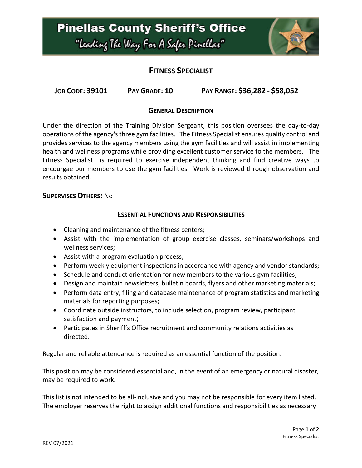

## **FITNESS SPECIALIST**

| PAY RANGE: \$36,282 - \$58,052<br>PAY GRADE: 10<br><b>JOB CODE: 39101</b> |  |  |
|---------------------------------------------------------------------------|--|--|
|---------------------------------------------------------------------------|--|--|

### **GENERAL DESCRIPTION**

Under the direction of the Training Division Sergeant, this position oversees the day-to-day operations of the agency's three gym facilities. The Fitness Specialist ensures quality control and provides services to the agency members using the gym facilities and will assist in implementing health and wellness programs while providing excellent customer service to the members. The Fitness Specialist is required to exercise independent thinking and find creative ways to encourgae our members to use the gym facilities. Work is reviewed through observation and results obtained.

#### **SUPERVISES OTHERS:** No

### **ESSENTIAL FUNCTIONS AND RESPONSIBILITIES**

- Cleaning and maintenance of the fitness centers;
- Assist with the implementation of group exercise classes, seminars/workshops and wellness services;
- Assist with a program evaluation process;
- Perform weekly equipment inspections in accordance with agency and vendor standards;
- Schedule and conduct orientation for new members to the various gym facilities;
- Design and maintain newsletters, bulletin boards, flyers and other marketing materials;
- Perform data entry, filing and database maintenance of program statistics and marketing materials for reporting purposes;
- Coordinate outside instructors, to include selection, program review, participant satisfaction and payment;
- Participates in Sheriff's Office recruitment and community relations activities as directed.

Regular and reliable attendance is required as an essential function of the position.

This position may be considered essential and, in the event of an emergency or natural disaster, may be required to work.

This list is not intended to be all-inclusive and you may not be responsible for every item listed. The employer reserves the right to assign additional functions and responsibilities as necessary